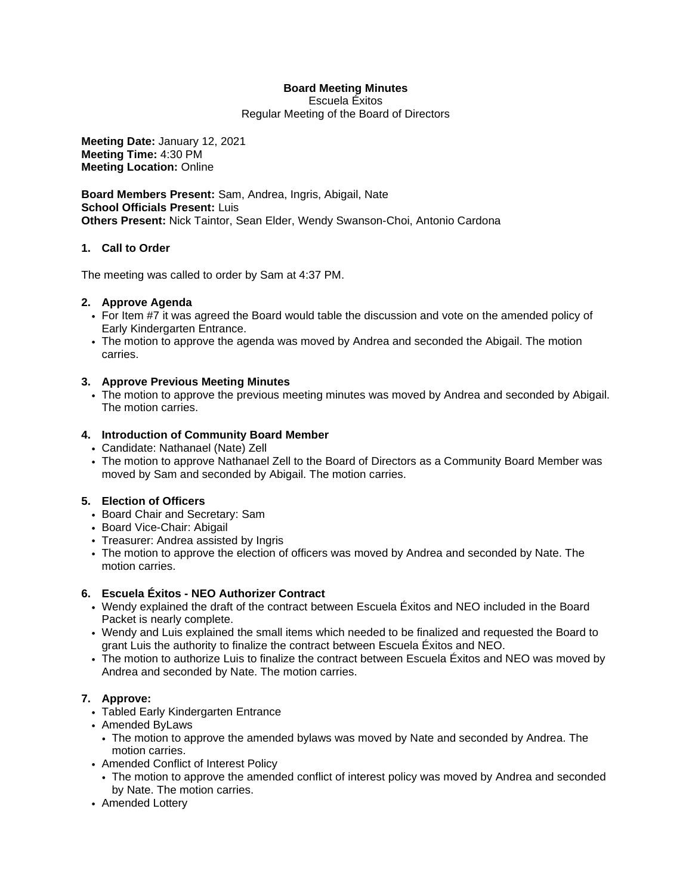# **Board Meeting Minutes**

Escuela Éxitos Regular Meeting of the Board of Directors

**Meeting Date:** January 12, 2021 **Meeting Time:** 4:30 PM **Meeting Location:** Online

**Board Members Present:** Sam, Andrea, Ingris, Abigail, Nate **School Officials Present:** Luis **Others Present:** Nick Taintor, Sean Elder, Wendy Swanson-Choi, Antonio Cardona

## **1. Call to Order**

The meeting was called to order by Sam at 4:37 PM.

## **2. Approve Agenda**

- For Item #7 it was agreed the Board would table the discussion and vote on the amended policy of Early Kindergarten Entrance.
- The motion to approve the agenda was moved by Andrea and seconded the Abigail. The motion carries.

## **3. Approve Previous Meeting Minutes**

• The motion to approve the previous meeting minutes was moved by Andrea and seconded by Abigail. The motion carries.

## **4. Introduction of Community Board Member**

- Candidate: Nathanael (Nate) Zell
- The motion to approve Nathanael Zell to the Board of Directors as a Community Board Member was moved by Sam and seconded by Abigail. The motion carries.

## **5. Election of Officers**

- Board Chair and Secretary: Sam
- Board Vice-Chair: Abigail
- Treasurer: Andrea assisted by Ingris
- The motion to approve the election of officers was moved by Andrea and seconded by Nate. The motion carries.

## **6. Escuela Éxitos - NEO Authorizer Contract**

- Wendy explained the draft of the contract between Escuela Éxitos and NEO included in the Board Packet is nearly complete.
- Wendy and Luis explained the small items which needed to be finalized and requested the Board to grant Luis the authority to finalize the contract between Escuela Éxitos and NEO.
- The motion to authorize Luis to finalize the contract between Escuela Éxitos and NEO was moved by Andrea and seconded by Nate. The motion carries.

## **7. Approve:**

- Tabled Early Kindergarten Entrance
- Amended ByLaws
- The motion to approve the amended bylaws was moved by Nate and seconded by Andrea. The motion carries.
- Amended Conflict of Interest Policy
	- The motion to approve the amended conflict of interest policy was moved by Andrea and seconded by Nate. The motion carries.
- Amended Lottery